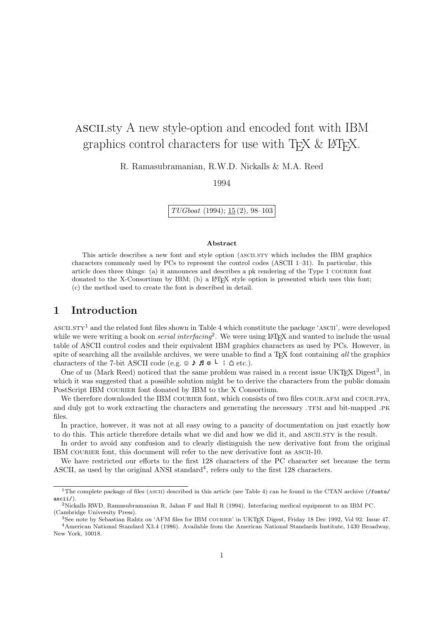# ascii.sty A new style-option and encoded font with IBM graphics control characters for use with  $T_F X \& B T_F X$ .

R. Ramasubramanian, R.W.D. Nickalls & M.A. Reed

1994

TUGboat (1994); 15 (2), 98–103

#### Abstract

This article describes a new font and style option (ASCII.STY which includes the IBM graphics characters commonly used by PCs to represent the control codes (ASCII 1–31). In particular, this article does three things: (a) it announces and describes a pk rendering of the Type 1 courier font donated to the X-Consortium by IBM; (b) a L<sup>AT</sup>EX style option is presented which uses this font; (c) the method used to create the font is described in detail.

## 1 Introduction

 $\text{ASCII}}$  and the related font files shown in Table 4 which constitute the package 'ASCII', were developed while we were writing a book on *serial interfacing*<sup>2</sup>. We were using LAT<sub>E</sub>X and wanted to include the usual table of ASCII control codes and their equivalent IBM graphics characters as used by PCs. However, in spite of searching all the available archives, we were unable to find a T<sub>E</sub>X font containing all the graphics characters of the 7-bit ASCII code (e.g.  $\circ \rightarrow \mathbf{F} \ast \vdash \bot \triangle$  etc.).

One of us (Mark Reed) noticed that the same problem was raised in a recent issue UKTEX Digest<sup>3</sup>, in which it was suggested that a possible solution might be to derive the characters from the public domain PostScript IBM COURIER font donated by IBM to the X Consortium.

We therefore downloaded the IBM COURIER font, which consists of two files COUR.AFM and COUR.PFA, and duly got to work extracting the characters and generating the necessary .TFM and bit-mapped .PK files.

In practice, however, it was not at all easy owing to a paucity of documentation on just exactly how to do this. This article therefore details what we did and how we did it, and ASCII.STY is the result.

In order to avoid any confusion and to clearly distinguish the new derivative font from the original IBM COURIER font, this document will refer to the new derivative font as ASCII-10.

We have restricted our efforts to the first 128 characters of the PC character set because the term ASCII, as used by the original ANSI standard<sup>4</sup>, refers only to the first  $128$  characters.

<sup>&</sup>lt;sup>1</sup>The complete package of files (ASCII) described in this article (see Table 4) can be found in the CTAN archive (/fonts/ ascii/).

<sup>2</sup>Nickalls RWD, Ramasubramanian R, Jahan F and Hall R (1994). Interfacing medical equipment to an IBM PC. (Cambridge University Press).

<sup>&</sup>lt;sup>3</sup>See note by Sebastian Rahtz on 'AFM files for IBM COURIER' in UKT<sub>E</sub>X Digest, Friday 18 Dec 1992, Vol 92: Issue 47. <sup>4</sup>American National Standard X3.4 (1986). Available from the American National Standards Institute, 1430 Broadway, New York, 10018.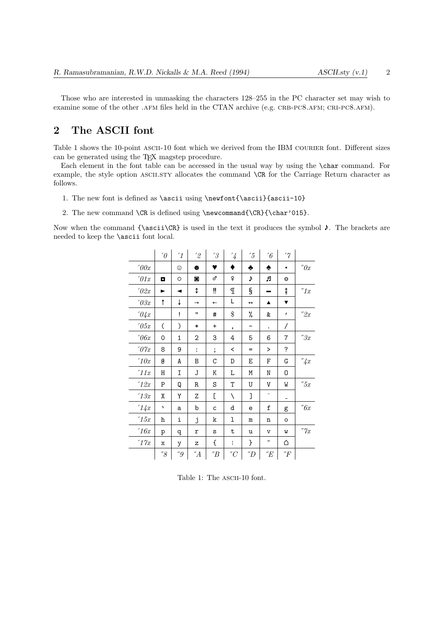Those who are interested in unmasking the characters 128–255 in the PC character set may wish to examine some of the other .AFM files held in the CTAN archive (e.g. CRB-PC8.AFM; CRI-PC8.AFM).

## 2 The ASCII font

Table 1 shows the 10-point ASCII-10 font which we derived from the IBM COURIER font. Different sizes can be generated using the TEX magstep procedure.

Each element in the font table can be accessed in the usual way by using the \char command. For example, the style option ASCII.STY allocates the command  $\CR$  for the Carriage Return character as follows.

- 1. The new font is defined as \ascii using \newfont{\ascii}{ascii-10}
- 2. The new command \CR is defined using \newcommand{\CR}{\char'015}.

Now when the command  $\{\asci\CR\}$  is used in the text it produces the symbol  $\lambda$ . The brackets are needed to keep the \ascii font local.

|                        | $\sqrt{0}$ | $\mathcal{L}_{1}$ | $^{\prime}2$         | $\hat{3}$                | $\mathcal{L}_{4}$  | $\frac{7}{5}$     | $\hat{6}$               | $\gamma$                 |                |
|------------------------|------------|-------------------|----------------------|--------------------------|--------------------|-------------------|-------------------------|--------------------------|----------------|
| $\hat{y}$              |            | ☺                 | $\bullet$            | v                        | ♦                  | ♣                 | ♠                       | $\bullet$                | $\partial x$   |
| $\hat{U}$              | o          | $\circ$           | $\circ$              | ♂                        | ₽                  | J                 | л                       | ⋫                        |                |
| '02x                   | ►          | ◀                 | ¢                    | ï                        | I                  | ş                 |                         | ↨                        | ''1x           |
| $\sqrt{03x}$           | $\uparrow$ | ↓                 | $\rightarrow$        | $\overline{\phantom{0}}$ | L                  | $\leftrightarrow$ | ▲                       | ▼                        |                |
| $\partial \mathcal{L}$ |            | ļ                 | $\mathbf{H}$         | #                        | $\$\$              | %                 | &                       | ,                        | "2x            |
| $\hat{c}$              | (          | $\mathcal{C}$     | $\ast$               | $\ddot{}$                | ,                  |                   | $\bullet$               | $\overline{\phantom{a}}$ |                |
| $\hat{c}$              | 0          | 1                 | $\mathbf 2$          | 3                        | 4                  | 5                 | 6                       | 7                        | "3x            |
| $\partial \gamma_x$    | 8          | 9                 | $\ddot{\phantom{a}}$ | $\vdots$                 | $\,<\,$            | $=$               | $\geq$                  | ?                        |                |
| 10x                    | G          | А                 | В                    | $\rm{C}$                 | D                  | Ε                 | F                       | G                        | $\sqrt{4x}$    |
| '11x                   | Η          | Ι                 | J                    | Κ                        | L                  | М                 | N                       | 0                        |                |
| '12x                   | P          | Q                 | R                    | S                        | T                  | U                 | V                       | W                        | "5x            |
| '13x                   | χ          | Υ                 | Ζ                    | C                        | $\backslash$       | J                 | $\widehat{\phantom{a}}$ |                          |                |
| '14x                   | ١          | a                 | b                    | $\mathsf{C}$             | d                  | e                 | f                       | g                        | " $6x$         |
| '15x                   | h          | i                 | j                    | k                        | 1                  | $\mathbf m$       | n                       | $\circ$                  |                |
| '16x                   | p          | q                 | r                    | S                        | t                  | u                 | v                       | M                        | $\emph{''}$ 7x |
| '17x                   | X          | у                 | z                    | €                        | ŧ                  | }                 | $\tilde{\phantom{a}}$   | Δ                        |                |
|                        | "8"        | "9                | $\it{''A}$           | $\sqrt{B}$               | $^{\prime\prime}C$ | $\it{''D}$        | E                       | ${}^{\prime\prime}F$     |                |

Table 1: The ASCII-10 font.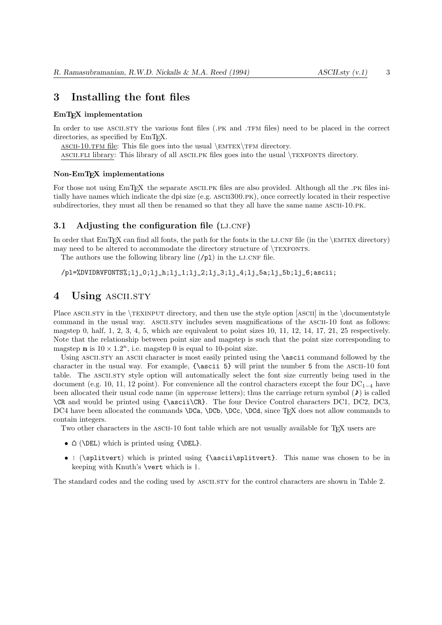## 3 Installing the font files

#### EmTEX implementation

In order to use ASCII.STY the various font files (.PK and .TFM files) need to be placed in the correct directories, as specified by EmT<sub>E</sub>X.

ASCII-10.TFM file: This file goes into the usual  $\emph{EMTEX}$  TFM directory.

ascii.fli library: This library of all ascii.pk files goes into the usual \texfonts directory.

#### Non-EmTEX implementations

For those not using EmT<sub>E</sub>X the separate ASCII.PK files are also provided. Although all the .PK files initially have names which indicate the dpi size (e.g. ascii300.pk), once correctly located in their respective subdirectories, they must all then be renamed so that they all have the same name ASCII-10.PK.

#### 3.1 Adjusting the configuration file  $(LJ.CNF)$

In order that  $EmTrX$  can find all fonts, the path for the fonts in the LJ.CNF file (in the \EMTEX directory) may need to be altered to accommodate the directory structure of  $\textsc{Texpons}.$ 

The authors use the following library line  $(\frac{\rho}{1})$  in the LJ.CNF file.

 $/pl$ =%DVIDRVFONTS%;lj\_0;lj\_h;lj\_1;lj\_2;lj\_3;lj\_4;lj\_5a;lj\_5b;lj\_6;ascii;

## 4 Using ASCII.STY

Place ASCII.STY in the \TEXINPUT directory, and then use the style option [ASCII] in the \documentstyle command in the usual way. ASCII.STY includes seven magnifications of the ASCII-10 font as follows: magstep 0, half,  $1, 2, 3, 4, 5$ , which are equivalent to point sizes 10, 11, 12, 14, 17, 21, 25 respectively. Note that the relationship between point size and magstep is such that the point size corresponding to magstep **n** is  $10 \times 1.2^n$ , i.e. magstep 0 is equal to 10-point size.

Using ASCII.STY an ASCII character is most easily printed using the **\ascii** command followed by the character in the usual way. For example,  ${\succeq s}$  will print the number 5 from the ASCII-10 font table. The ASCII.STY style option will automatically select the font size currently being used in the document (e.g. 10, 11, 12 point). For convenience all the control characters except the four  $DC_{1-4}$  have been allocated their usual code name (in *uppercase* letters); thus the carriage return symbol  $(\lambda)$  is called \CR and would be printed using {\ascii\CR}. The four Device Control characters DC1, DC2, DC3, DC4 have been allocated the commands \DCa, \DCb, \DCc, \DCd, since T<sub>EX</sub> does not allow commands to contain integers.

Two other characters in the ASCII-10 font table which are not usually available for TEX users are

- $\triangle$  (\DEL) which is printed using {\DEL}.
- ¦ (\splitvert) which is printed using {\ascii\splitvert}. This name was chosen to be in keeping with Knuth's \vert which is |.

The standard codes and the coding used by ascii.sty for the control characters are shown in Table 2.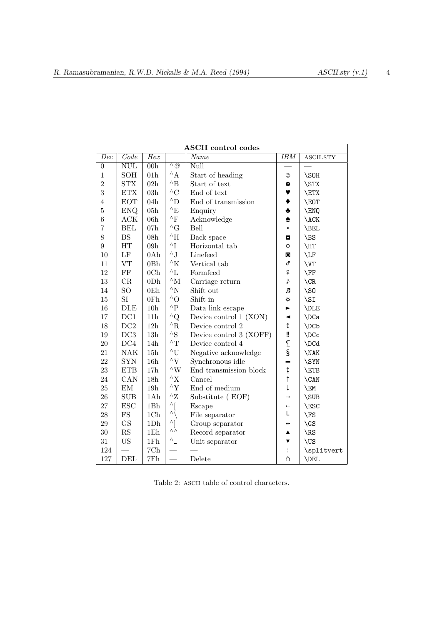| <b>ASCII</b> control codes |                            |                 |                           |                         |                        |                |
|----------------------------|----------------------------|-----------------|---------------------------|-------------------------|------------------------|----------------|
| $\overline{Dec}$           | Code                       | Hex             |                           | Name                    | $\overline{IBM}$       | ASCII.STY      |
| $\boldsymbol{0}$           | $\overline{\mathrm{NULL}}$ | 00h             | $\wedge$ @                | Null                    |                        |                |
| $\mathbf{1}$               | <b>SOH</b>                 | 01 <sub>h</sub> | $^{\wedge}$ A             | Start of heading        | ☺                      | \SOH           |
| $\overline{2}$             | STX                        | $02\mathrm{h}$  | $^{\wedge} \text{B}$      | Start of text           | $\bullet$              | \STX           |
| 3                          | <b>ETX</b>                 | $03\mathrm{h}$  | $^{\wedge}C$              | End of text             | 7                      | \ETX           |
| $\overline{4}$             | <b>EOT</b>                 | 04h             | $^{\wedge} \mathcal{D}$   | End of transmission     | ♦                      | \EOT           |
| $\overline{5}$             | <b>ENQ</b>                 | 05h             | $^{\wedge} \mathrm{E}$    | Enquiry                 | ٠                      | \ENQ           |
| $\overline{6}$             | ACK                        | 06h             | $^\wedge\mathrm{F}$       | Acknowledge             | $\blacklozenge$        | <b>\ACK</b>    |
| 7                          | <b>BEL</b>                 | 07h             | $^{\wedge} \mathrm{G}$    | Bell                    | $\bullet$              | \BEL           |
| 8                          | BS                         | 08h             | $^{\wedge}{\rm H}$        | Back space              | $\blacksquare$         | \BS            |
| $\overline{9}$             | HT                         | 09h             | $\mathord{\wedge} I$      | Horizontal tab          | $\circ$                | \HT            |
| 10                         | $\rm LF$                   | 0Ah             | $^\wedge \text{J}$        | Linefeed                | O                      | \LF            |
| 11                         | <b>VT</b>                  | 0Bh             | $^{\wedge}{\rm K}$        | Vertical tab            | ď                      | \VT            |
| 12                         | $\rm FF$                   | 0 <sub>Ch</sub> | ${}^{\wedge}{\rm L}$      | Formfeed                | ₽                      | \FF            |
| 13                         | CR                         | 0D <sub>h</sub> | $^{\wedge}{\rm M}$        | Carriage return         | d                      | $\setminus$ CR |
| 14                         | SO <sub></sub>             | 0E <sub>h</sub> | $^{\wedge}{\rm N}$        | Shift out               | Я                      | $\setminus$ SO |
| 15                         | SI                         | 0Fh             | $^{\wedge}O$              | Shift in<br>⋫           |                        | \SI            |
| 16                         | DLE                        | 10 <sub>h</sub> | $^\wedge\mathrm{P}$       | Data link escape        | ►                      | \DLE           |
| 17                         | DC1                        | 11 <sub>h</sub> | $^{\wedge}Q$              | Device control 1 (XON)  | ◀                      | \DCa           |
| 18                         | DC2                        | 12h             | $^\wedge \text{R}$        | Device control 2        | ¢                      | \DCb           |
| 19                         | DC3                        | $13\mathrm{h}$  | $^\wedge \mathrm{S}$      | Device control 3 (XOFF) | ü                      | \DCc           |
| 20                         | DC4                        | 14h             | $\mathord{\wedge} T$      | Device control 4        | $\mathbb T$            | \DCd           |
| 21                         | <b>NAK</b>                 | 15h             | $^\wedge\mathrm{U}$       | Negative acknowledge    | $\S$                   | \NAK           |
| 22                         | <b>SYN</b>                 | 16h             | $\mathord{\uparrow} V$    | Synchronous idle        |                        | \SYN           |
| 23                         | <b>ETB</b>                 | 17h             | $^\wedge\mathrm{W}$       | End transmission block  | $\frac{1}{\tau}$       | \ETB           |
| 24                         | CAN                        | 18h             | ${}^{\wedge}\mathrm{X}$   | Cancel                  |                        | \CAN           |
| 25                         | EM                         | 19h             | ${}^\wedge\mathcal{Y}$    | End of medium           | $\downarrow$           | \EM            |
| 26                         | <b>SUB</b>                 | 1Ah             | $^\wedge\mathrm{Z}$       | Substitute (EOF)        | $\rightarrow$          | \SUB           |
| 27                         | <b>ESC</b>                 | 1Bh             | $\wedge$                  | Escape                  | $\leftarrow$           | \ESC           |
| 28                         | $_{\rm FS}$                | 1Ch             | $\vee$                    | File separator          | L                      | \FS            |
| 29                         | $\mathbf{G}\mathbf{S}$     | $1{\rm Dh}$     | $\wedge$                  | Group separator         | ↔                      | $\setminus$ GS |
| 30                         | $\mathbf{RS}$              | $1\mathrm{Eh}$  | $\overline{\wedge}\wedge$ | Record separator        | ▲                      | \RS            |
| 31                         | <b>US</b>                  | $1\mathrm{Fh}$  | $\wedge$ _                | Unit separator          | ▼                      | \US            |
| 124                        |                            | $7{\rm Ch}$     |                           |                         | $\mathord{\mathsf{I}}$ | \splitvert     |
| 127                        | <b>DEL</b>                 | $7Fh$           |                           | Delete                  | Δ                      | \DEL           |

|  |  | Table 2: ASCII table of control characters. |
|--|--|---------------------------------------------|
|  |  |                                             |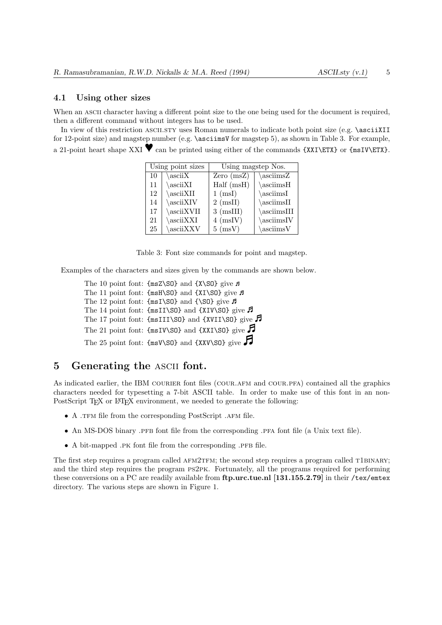#### 4.1 Using other sizes

When an ASCII character having a different point size to the one being used for the document is required, then a different command without integers has to be used.

In view of this restriction ASCII.STY uses Roman numerals to indicate both point size (e.g. \asciiXII for 12-point size) and magstep number (e.g. \asciimsV for magstep 5), as shown in Table 3. For example, a 21-point heart shape XXI  $\blacktriangledown$  can be printed using either of the commands {XXI\ETX} or {msIV\ETX}.

|    | Using point sizes     | Using magstep Nos. |                        |  |
|----|-----------------------|--------------------|------------------------|--|
| 10 | $\setminus$ ascii $X$ | Zero $(msZ)$       | \asciimsZ              |  |
| 11 | $\setminus$ asciiXI   | Half(msH)          | \asciimsH              |  |
| 12 | \asciiXII             | $1 \text{ (msI)}$  | \asciimsI              |  |
| 14 | \asciiXIV             | $2 \pmod{1}$       | $\setminus$ asciimsII  |  |
| 17 | \asciiXVII            | $3 \ (msIII)$      | $\setminus$ asciimsIII |  |
| 21 | \asciiXXI             | $4 \text{ (msIV)}$ | \asciimsIV             |  |
| 25 | \asciiXXV             | $5 \text{ (msV)}$  | $\setminus$ asciims V  |  |

Table 3: Font size commands for point and magstep.

Examples of the characters and sizes given by the commands are shown below.

The 10 point font:  $\{msZ\}}$  and  $\{X\$ SO} give  $\pi$ The 11 point font:  $\{msH\\ 80\}$  and  $\{XI\$  give  $\pi$ The 12 point font:  $\{\text{msI}\}\$  and  $\{\$ S0\} give  $\bar{F}$ The 14 point font:  $\{\text{msII}\}\$  and  $\{\text{XIV}\}\$ give  $\vec{P}$ The 17 point font:  $\{\text{msIII}\$  and  $\{\text{XVII}\$ SO} give  $\beta$ The 21 point font:  $\{\text{msIV}\$ S0\} and  $\{\text{XXI}\$ SO give The 25 point font:  $\{\text{msV}\$ SO} and  $\{\text{XXV}\$ SO} give

## 5 Generating the ascii font.

As indicated earlier, the IBM COURIER font files (COUR.AFM and COUR.PFA) contained all the graphics characters needed for typesetting a 7-bit ASCII table. In order to make use of this font in an non-PostScript T<sub>EX</sub> or L<sup>AT</sup>EX environment, we needed to generate the following:

- A .TFM file from the corresponding PostScript .AFM file.
- An MS-DOS binary .PFB font file from the corresponding .PFA font file (a Unix text file).
- $\bullet$  A bit-mapped .pk font file from the corresponding .pfb file.

The first step requires a program called AFM2TFM; the second step requires a program called T1BINARY; and the third step requires the program ps2pk. Fortunately, all the programs required for performing these conversions on a PC are readily available from ftp.urc.tue.nl [131.155.2.79] in their /tex/emtex directory. The various steps are shown in Figure 1.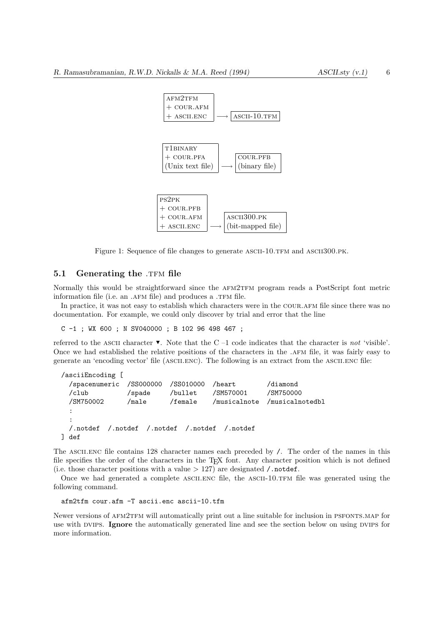

Figure 1: Sequence of file changes to generate ASCII-10.TFM and ASCII300.PK.

## 5.1 Generating the .TFM file

Normally this would be straightforward since the AFM2TFM program reads a PostScript font metric information file (i.e. an .AFM file) and produces a .TFM file.

In practice, it was not easy to establish which characters were in the COUR.AFM file since there was no documentation. For example, we could only discover by trial and error that the line

C -1 ; WX 600 ; N SV040000 ; B 102 96 498 467 ;

referred to the ASCII character  $\blacktriangledown$ . Note that the C –1 code indicates that the character is not 'visible'. Once we had established the relative positions of the characters in the .afm file, it was fairly easy to generate an 'encoding vector' file (ASCII.ENC). The following is an extract from the ASCII.ENC file:

```
/asciiEncoding [
 /spacenumeric /SS000000 /SS010000 /heart /diamond
 /club /spade /bullet /SM570001 /SM750000
 /SM750002 /male /female /musicalnote /musicalnotedbl
  :
  :
 /.notdef /.notdef /.notdef /.notdef /.notdef
] def
```
The ASCII.ENC file contains 128 character names each preceded by  $\ell$ . The order of the names in this file specifies the order of the characters in the TEX font. Any character position which is not defined (i.e. those character positions with a value  $> 127$ ) are designated / notdef.

Once we had generated a complete ASCII.ENC file, the ASCII-10.TFM file was generated using the following command.

```
afm2tfm cour.afm -T ascii.enc ascii-10.tfm
```
Newer versions of AFM2TFM will automatically print out a line suitable for inclusion in PSFONTS.MAP for use with DVIPS. Ignore the automatically generated line and see the section below on using DVIPS for more information.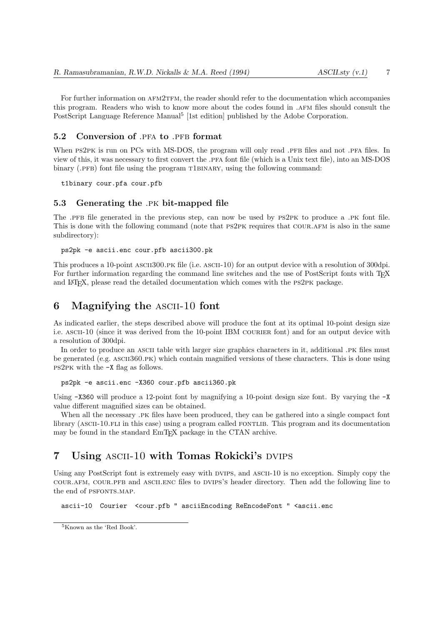For further information on AFM2TFM, the reader should refer to the documentation which accompanies this program. Readers who wish to know more about the codes found in .afm files should consult the PostScript Language Reference Manual<sup>5</sup> [1st edition] published by the Adobe Corporation.

#### 5.2 Conversion of .PFA to .PFB format

When PS2PK is run on PCs with MS-DOS, the program will only read .PFB files and not .PFA files. In view of this, it was necessary to first convert the .pfa font file (which is a Unix text file), into an MS-DOS binary  $(PFB)$  font file using the program T1BINARY, using the following command:

t1binary cour.pfa cour.pfb

#### 5.3 Generating the .pk bit-mapped file

The .PFB file generated in the previous step, can now be used by PS2PK to produce a .PK font file. This is done with the following command (note that PS2PK requires that COUR.AFM is also in the same subdirectory):

ps2pk -e ascii.enc cour.pfb ascii300.pk

This produces a 10-point ASCII300.pk file (i.e. ASCII-10) for an output device with a resolution of 300dpi. For further information regarding the command line switches and the use of PostScript fonts with T<sub>E</sub>X and LATEX, please read the detailed documentation which comes with the ps2pk package.

#### 6 Magnifying the ascii-10 font

As indicated earlier, the steps described above will produce the font at its optimal 10-point design size i.e. ASCII-10 (since it was derived from the 10-point IBM COURIER font) and for an output device with a resolution of 300dpi.

In order to produce an ASCII table with larger size graphics characters in it, additional .PK files must be generated (e.g. ASCII360.PK) which contain magnified versions of these characters. This is done using ps2pk with the -X flag as follows.

ps2pk -e ascii.enc -X360 cour.pfb ascii360.pk

Using  $-X360$  will produce a 12-point font by magnifying a 10-point design size font. By varying the  $-X$ value different magnified sizes can be obtained.

When all the necessary .PK files have been produced, they can be gathered into a single compact font library (ASCII-10.FLI in this case) using a program called FONTLIB. This program and its documentation may be found in the standard EmTEX package in the CTAN archive.

## 7 Using ASCII-10 with Tomas Rokicki's DVIPS

Using any PostScript font is extremely easy with DVIPS, and ASCII-10 is no exception. Simply copy the cour.afm, cour.pfb and ascii.enc files to dvips's header directory. Then add the following line to the end of PSFONTS.MAP.

ascii-10 Courier <cour.pfb " asciiEncoding ReEncodeFont " <ascii.enc

<sup>5</sup>Known as the 'Red Book'.